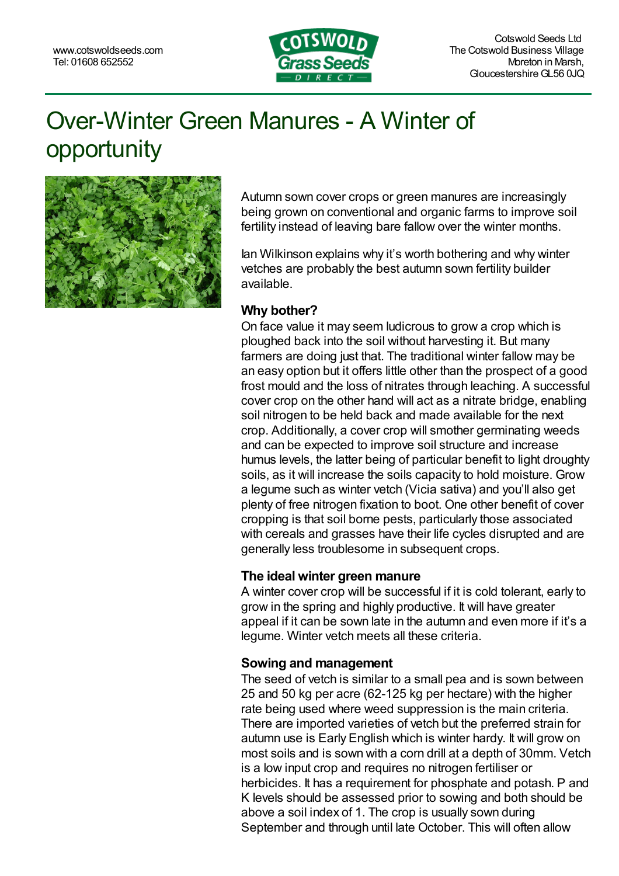

# Over-Winter Green Manures - A Winter of opportunity



Autumn sown cover crops or green [manures](https://www.cotswoldseeds.com/seeds/10/green-manures) are increasingly being grown on conventional and organic farms to improve soil fertility instead of leaving bare fallow over the winter months.

Ian Wilkinson explains why it's worth bothering and why winter vetches are probably the best autumn sown fertility builder available.

#### **Why bother?**

On face value it may seem ludicrous to grow a crop which is ploughed back into the soil without harvesting it. But many farmers are doing just that. The traditional winter fallow may be an easy option but it offers little other than the prospect of a good frost mould and the loss of nitrates through leaching. A successful cover crop on the other hand will act as a nitrate bridge, enabling soil nitrogen to be held back and made available for the next crop. Additionally, a cover crop will smother germinating weeds and can be expected to improve soil structure and increase humus levels, the latter being of particular benefit to light droughty soils, as it will increase the soils capacity to hold moisture. Grow a legume such as [winter](https://www.cotswoldseeds.com/products/305/vetch-vicia-sativa) vetch (Vicia sativa) and you'll also get plenty of free nitrogen fixation to boot. One other benefit of cover cropping is that soil borne pests, particularly those associated with cereals and grasses have their life cycles disrupted and are generally less troublesome in subsequent crops.

## **The ideal winter green manure**

A winter cover crop will be successful if it is cold tolerant, early to grow in the spring and highly productive. It will have greater appeal if it can be sown late in the autumn and even more if it's a legume. Winter vetch meets all these criteria.

## **Sowing and management**

The seed of vetch is similar to a small pea and is sown between 25 and 50 kg per acre (62-125 kg per hectare) with the higher rate being used where weed suppression is the main criteria. There are imported varieties of vetch but the preferred strain for autumn use is Early English which is winter hardy. It will grow on most soils and is sown with a corn drill at a depth of 30mm. Vetch is a low input crop and requires no nitrogen fertiliser or herbicides. It has a requirement for phosphate and potash. P and K levels should be assessed prior to sowing and both should be above a soil index of 1. The crop is usually sown during September and through until late October. This will often allow